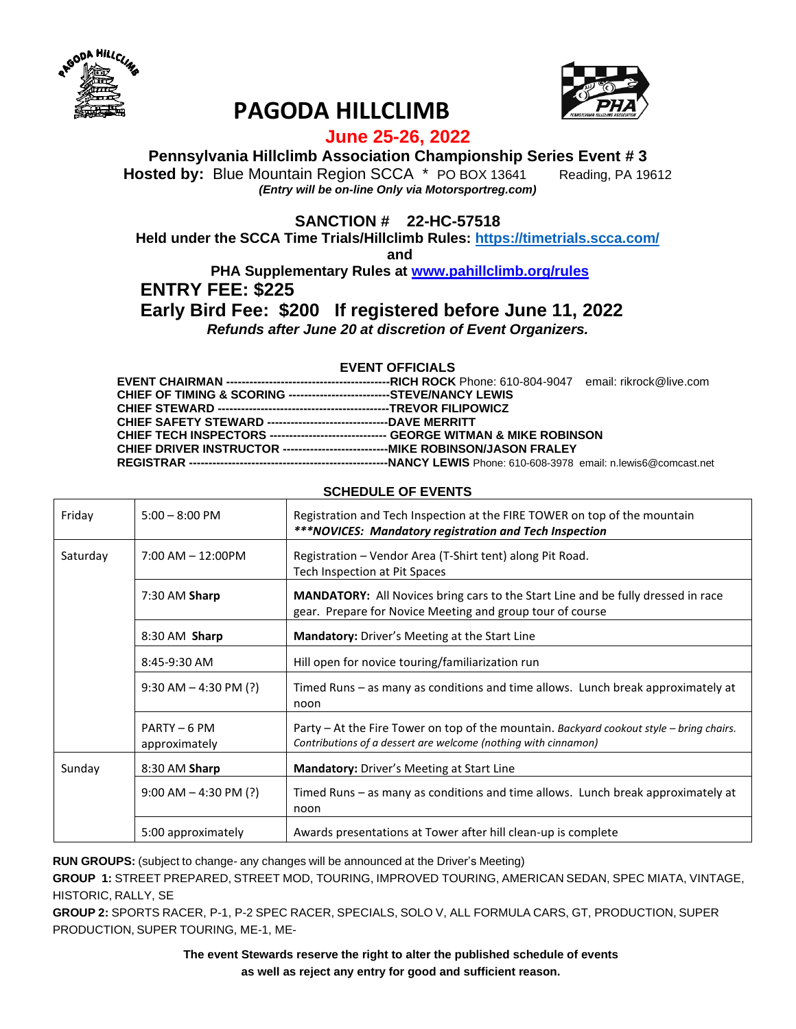



# **PAGODA HILLCLIMB**

### **June 25-26, 2022**

**Pennsylvania Hillclimb Association Championship Series Event # 3**

**Hosted by:** Blue Mountain Region SCCA \* PO BOX 13641 Reading, PA 19612 *(Entry will be on-line Only via Motorsportreg.com)*

**SANCTION # 22-HC-57518**

**Held under the SCCA Time Trials/Hillclimb Rules:<https://timetrials.scca.com/>**

**and**

**PHA Supplementary Rules at [www.pahillclimb.org/rules](http://www.pahillclimb.org/rules) ENTRY FEE: \$225**

## **Early Bird Fee: \$200 If registered before June 11, 2022**

*Refunds after June 20 at discretion of Event Organizers.*

#### **EVENT OFFICIALS**

| CHIEF OF TIMING & SCORING ---------------------------STEVE/NANCY LEWIS               |  |
|--------------------------------------------------------------------------------------|--|
|                                                                                      |  |
| <b>CHIEF SAFETY STEWARD ----------------------------------DAVE MERRITT</b>           |  |
| CHIEF TECH INSPECTORS -------------------------------- GEORGE WITMAN & MIKE ROBINSON |  |
|                                                                                      |  |
|                                                                                      |  |

| Friday                            | $5:00 - 8:00$ PM              | Registration and Tech Inspection at the FIRE TOWER on top of the mountain<br>*** NOVICES: Mandatory registration and Tech Inspection                       |
|-----------------------------------|-------------------------------|------------------------------------------------------------------------------------------------------------------------------------------------------------|
| Saturday<br>$7:00$ AM $-$ 12:00PM |                               | Registration - Vendor Area (T-Shirt tent) along Pit Road.<br>Tech Inspection at Pit Spaces                                                                 |
|                                   | $7:30$ AM Sharp               | MANDATORY: All Novices bring cars to the Start Line and be fully dressed in race<br>gear. Prepare for Novice Meeting and group tour of course              |
|                                   | 8:30 AM Sharp                 | <b>Mandatory:</b> Driver's Meeting at the Start Line                                                                                                       |
|                                   | 8:45-9:30 AM                  | Hill open for novice touring/familiarization run                                                                                                           |
|                                   | $9:30$ AM $-$ 4:30 PM (?)     | Timed Runs – as many as conditions and time allows. Lunch break approximately at<br>noon                                                                   |
|                                   | PARTY - 6 PM<br>approximately | Party – At the Fire Tower on top of the mountain. Backyard cookout style – bring chairs.<br>Contributions of a dessert are welcome (nothing with cinnamon) |
| Sunday                            | 8:30 AM Sharp                 | Mandatory: Driver's Meeting at Start Line                                                                                                                  |
|                                   | $9:00$ AM $-$ 4:30 PM (?)     | Timed Runs - as many as conditions and time allows. Lunch break approximately at<br>noon                                                                   |
|                                   | 5:00 approximately            | Awards presentations at Tower after hill clean-up is complete                                                                                              |

#### **SCHEDULE OF EVENTS**

**RUN GROUPS:** (subject to change- any changes will be announced at the Driver's Meeting)

**GROUP 1:** STREET PREPARED, STREET MOD, TOURING, IMPROVED TOURING, AMERICAN SEDAN, SPEC MIATA, VINTAGE, HISTORIC, RALLY, SE

**GROUP 2:** SPORTS RACER, P-1, P-2 SPEC RACER, SPECIALS, SOLO V, ALL FORMULA CARS, GT, PRODUCTION, SUPER PRODUCTION, SUPER TOURING, ME-1, ME-

> **The event Stewards reserve the right to alter the published schedule of events as well as reject any entry for good and sufficient reason.**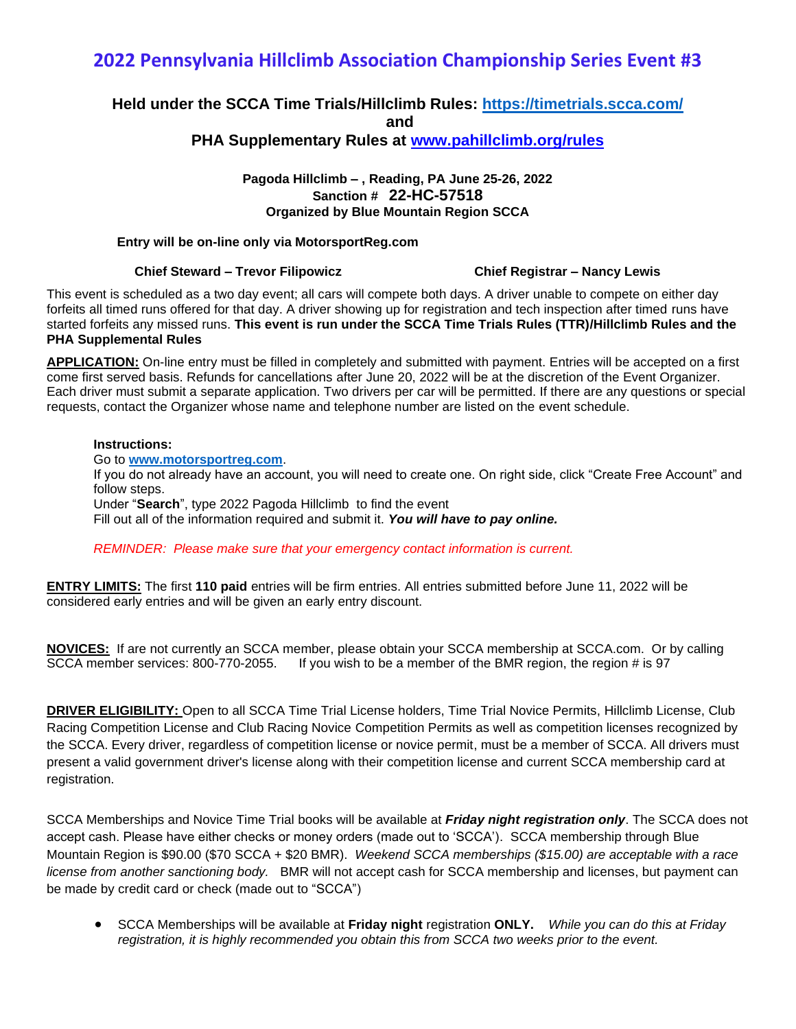# **2022 Pennsylvania Hillclimb Association Championship Series Event #3**

### **Held under the SCCA Time Trials/Hillclimb Rules:<https://timetrials.scca.com/> and PHA Supplementary Rules at [www.pahillclimb.org/rules](http://www.pahillclimb.org/rules)**

#### **Pagoda Hillclimb – , Reading, PA June 25-26, 2022 Sanction # 22-HC-57518 Organized by Blue Mountain Region SCCA**

#### **Entry will be on-line only via MotorsportReg.com**

#### **Chief Steward – Trevor Filipowicz Chief Registrar – Nancy Lewis**

This event is scheduled as a two day event; all cars will compete both days. A driver unable to compete on either day forfeits all timed runs offered for that day. A driver showing up for registration and tech inspection after timed runs have started forfeits any missed runs. **This event is run under the SCCA Time Trials Rules (TTR)/Hillclimb Rules and the PHA Supplemental Rules**

**APPLICATION:** On-line entry must be filled in completely and submitted with payment. Entries will be accepted on a first come first served basis. Refunds for cancellations after June 20, 2022 will be at the discretion of the Event Organizer. Each driver must submit a separate application. Two drivers per car will be permitted. If there are any questions or special requests, contact the Organizer whose name and telephone number are listed on the event schedule.

#### **Instructions:**

Go to **[www.motorsportreg.com](http://www.motorsportreg.com/)**.

If you do not already have an account, you will need to create one. On right side, click "Create Free Account" and follow steps. Under "**Search**", type 2022 Pagoda Hillclimb to find the event

Fill out all of the information required and submit it. *You will have to pay online.*

*REMINDER: Please make sure that your emergency contact information is current.*

**ENTRY LIMITS:** The first **110 paid** entries will be firm entries. All entries submitted before June 11, 2022 will be considered early entries and will be given an early entry discount.

**NOVICES:** If are not currently an SCCA member, please obtain your SCCA membership at SCCA.com. Or by calling SCCA member services: 800-770-2055. If you wish to be a member of the BMR region, the region # is 97

**DRIVER ELIGIBILITY:** Open to all SCCA Time Trial License holders, Time Trial Novice Permits, Hillclimb License, Club Racing Competition License and Club Racing Novice Competition Permits as well as competition licenses recognized by the SCCA. Every driver, regardless of competition license or novice permit, must be a member of SCCA. All drivers must present a valid government driver's license along with their competition license and current SCCA membership card at registration.

SCCA Memberships and Novice Time Trial books will be available at *Friday night registration only*. The SCCA does not accept cash. Please have either checks or money orders (made out to 'SCCA'). SCCA membership through Blue Mountain Region is \$90.00 (\$70 SCCA + \$20 BMR). *Weekend SCCA memberships (\$15.00) are acceptable with a race license from another sanctioning body.* BMR will not accept cash for SCCA membership and licenses, but payment can be made by credit card or check (made out to "SCCA")

• SCCA Memberships will be available at **Friday night** registration **ONLY.** *While you can do this at Friday registration, it is highly recommended you obtain this from SCCA two weeks prior to the event.*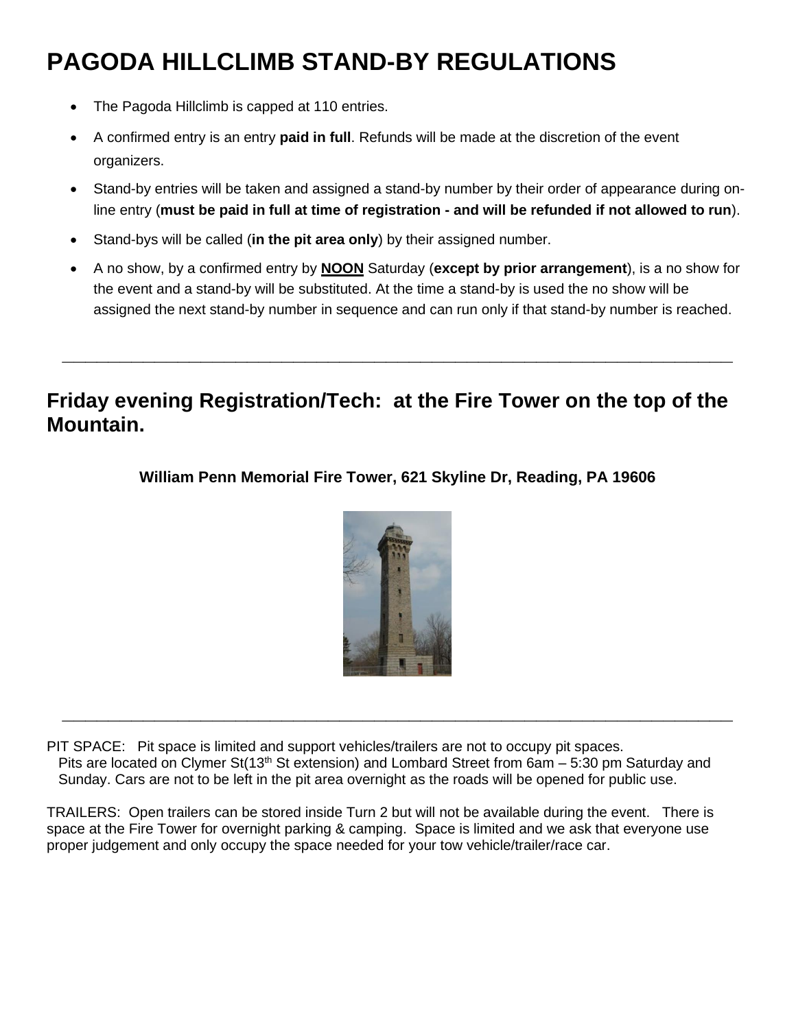# **PAGODA HILLCLIMB STAND-BY REGULATIONS**

- The Pagoda Hillclimb is capped at 110 entries.
- A confirmed entry is an entry **paid in full**. Refunds will be made at the discretion of the event organizers.
- Stand-by entries will be taken and assigned a stand-by number by their order of appearance during online entry (**must be paid in full at time of registration - and will be refunded if not allowed to run**).
- Stand-bys will be called (**in the pit area only**) by their assigned number.
- A no show, by a confirmed entry by **NOON** Saturday (**except by prior arrangement**), is a no show for the event and a stand-by will be substituted. At the time a stand-by is used the no show will be assigned the next stand-by number in sequence and can run only if that stand-by number is reached.

# **Friday evening Registration/Tech: at the Fire Tower on the top of the Mountain.**

**\_\_\_\_\_\_\_\_\_\_\_\_\_\_\_\_\_\_\_\_\_\_\_\_\_\_\_\_\_\_\_\_\_\_\_\_\_\_\_\_\_\_\_\_\_\_\_\_\_\_\_\_\_\_\_\_\_\_**

**William Penn Memorial Fire Tower, 621 Skyline Dr, Reading, PA 19606**



**\_\_\_\_\_\_\_\_\_\_\_\_\_\_\_\_\_\_\_\_\_\_\_\_\_\_\_\_\_\_\_\_\_\_\_\_\_\_\_\_\_\_\_\_\_\_\_\_\_\_\_\_\_\_\_\_\_\_**

PIT SPACE: Pit space is limited and support vehicles/trailers are not to occupy pit spaces. Pits are located on Clymer St(13<sup>th</sup> St extension) and Lombard Street from 6am – 5:30 pm Saturday and Sunday. Cars are not to be left in the pit area overnight as the roads will be opened for public use.

TRAILERS: Open trailers can be stored inside Turn 2 but will not be available during the event. There is space at the Fire Tower for overnight parking & camping. Space is limited and we ask that everyone use proper judgement and only occupy the space needed for your tow vehicle/trailer/race car.